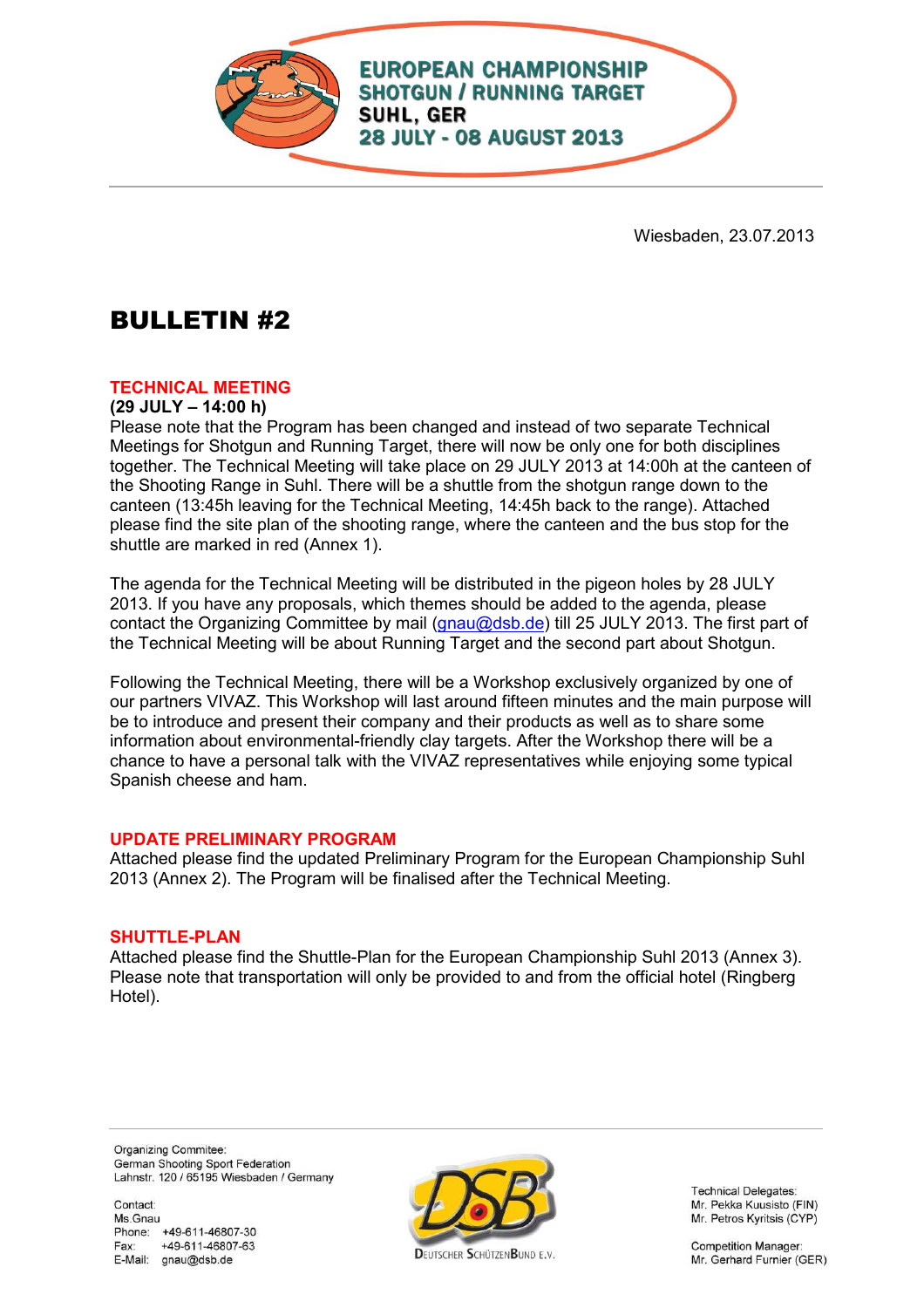

Wiesbaden, 23.07.2013

# BULLETIN #2

# **TECHNICAL MEETING**

#### **(29 JULY – 14:00 h)**

Please note that the Program has been changed and instead of two separate Technical Meetings for Shotgun and Running Target, there will now be only one for both disciplines together. The Technical Meeting will take place on 29 JULY 2013 at 14:00h at the canteen of the Shooting Range in Suhl. There will be a shuttle from the shotgun range down to the canteen (13:45h leaving for the Technical Meeting, 14:45h back to the range). Attached please find the site plan of the shooting range, where the canteen and the bus stop for the shuttle are marked in red (Annex 1).

The agenda for the Technical Meeting will be distributed in the pigeon holes by 28 JULY 2013. If you have any proposals, which themes should be added to the agenda, please contact the Organizing Committee by mail (gnau@dsb.de) till 25 JULY 2013. The first part of the Technical Meeting will be about Running Target and the second part about Shotgun.

Following the Technical Meeting, there will be a Workshop exclusively organized by one of our partners VIVAZ. This Workshop will last around fifteen minutes and the main purpose will be to introduce and present their company and their products as well as to share some information about environmental-friendly clay targets. After the Workshop there will be a chance to have a personal talk with the VIVAZ representatives while enjoying some typical Spanish cheese and ham.

# **UPDATE PRELIMINARY PROGRAM**

Attached please find the updated Preliminary Program for the European Championship Suhl 2013 (Annex 2). The Program will be finalised after the Technical Meeting.

# **SHUTTLE-PLAN**

Attached please find the Shuttle-Plan for the European Championship Suhl 2013 (Annex 3). Please note that transportation will only be provided to and from the official hotel (Ringberg Hotel).

Organizing Commitee: German Shooting Sport Federation Lahnstr. 120 / 65195 Wiesbaden / Germany

Contact Ms Gnau Phone: +49-611-46807-30 Fax: +49-611-46807-63 E-Mail: gnau@dsb.de



Technical Delegates: Mr. Pekka Kuusisto (FIN) Mr. Petros Kyritsis (CYP)

**Competition Manager:** Mr. Gerhard Furnier (GER)

**DELITSCHER SCHÜTZENBLIND E.V.**